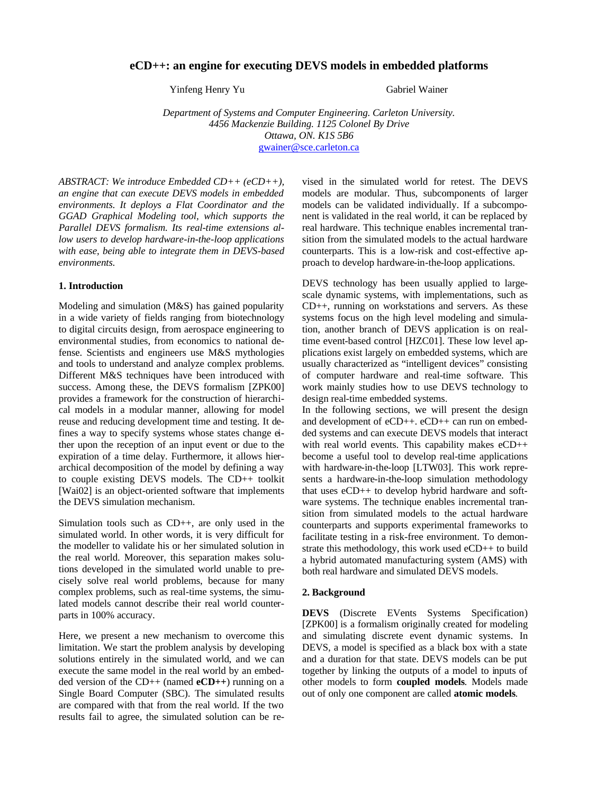# **eCD++: an engine for executing DEVS models in embedded platforms**

Yinfeng Henry Yu Gabriel Wainer

*Department of Systems and Computer Engineering. Carleton University. 4456 Mackenzie Building. 1125 Colonel By Drive Ottawa, ON. K1S 5B6* gwainer@sce.carleton.ca

*ABSTRACT: We introduce Embedded CD++ (eCD++), an engine that can execute DEVS models in embedded environments. It deploys a Flat Coordinator and the GGAD Graphical Modeling tool, which supports the Parallel DEVS formalism. Its real-time extensions allow users to develop hardware-in-the-loop applications with ease, being able to integrate them in DEVS-based environments.*

### **1. Introduction**

Modeling and simulation (M&S) has gained popularity in a wide variety of fields ranging from biotechnology to digital circuits design, from aerospace engineering to environmental studies, from economics to national defense. Scientists and engineers use M&S mythologies and tools to understand and analyze complex problems. Different M&S techniques have been introduced with success. Among these, the DEVS formalism [ZPK00] provides a framework for the construction of hierarchical models in a modular manner, allowing for model reuse and reducing development time and testing. It defines a way to specify systems whose states change either upon the reception of an input event or due to the expiration of a time delay. Furthermore, it allows hierarchical decomposition of the model by defining a way to couple existing DEVS models. The CD++ toolkit [Wai02] is an object-oriented software that implements the DEVS simulation mechanism.

Simulation tools such as CD++, are only used in the simulated world. In other words, it is very difficult for the modeller to validate his or her simulated solution in the real world. Moreover, this separation makes solutions developed in the simulated world unable to precisely solve real world problems, because for many complex problems, such as real-time systems, the simulated models cannot describe their real world counterparts in 100% accuracy.

Here, we present a new mechanism to overcome this limitation. We start the problem analysis by developing solutions entirely in the simulated world, and we can execute the same model in the real world by an embedded version of the CD++ (named **eCD++**) running on a Single Board Computer (SBC). The simulated results are compared with that from the real world. If the two results fail to agree, the simulated solution can be re-

vised in the simulated world for retest. The DEVS models are modular. Thus, subcomponents of larger models can be validated individually. If a subcomponent is validated in the real world, it can be replaced by real hardware. This technique enables incremental transition from the simulated models to the actual hardware counterparts. This is a low-risk and cost-effective approach to develop hardware-in-the-loop applications.

DEVS technology has been usually applied to largescale dynamic systems, with implementations, such as CD++, running on workstations and servers. As these systems focus on the high level modeling and simulation, another branch of DEVS application is on realtime event-based control [HZC01]. These low level applications exist largely on embedded systems, which are usually characterized as "intelligent devices" consisting of computer hardware and real-time software. This work mainly studies how to use DEVS technology to design real-time embedded systems.

In the following sections, we will present the design and development of eCD++. eCD++ can run on embedded systems and can execute DEVS models that interact with real world events. This capability makes eCD++ become a useful tool to develop real-time applications with hardware-in-the-loop [LTW03]. This work represents a hardware-in-the-loop simulation methodology that uses eCD++ to develop hybrid hardware and software systems. The technique enables incremental transition from simulated models to the actual hardware counterparts and supports experimental frameworks to facilitate testing in a risk-free environment. To demonstrate this methodology, this work used eCD++ to build a hybrid automated manufacturing system (AMS) with both real hardware and simulated DEVS models.

#### **2. Background**

**DEVS** (Discrete EVents Systems Specification) [ZPK00] is a formalism originally created for modeling and simulating discrete event dynamic systems. In DEVS, a model is specified as a black box with a state and a duration for that state. DEVS models can be put together by linking the outputs of a model to inputs of other models to form **coupled models**. Models made out of only one component are called **atomic models**.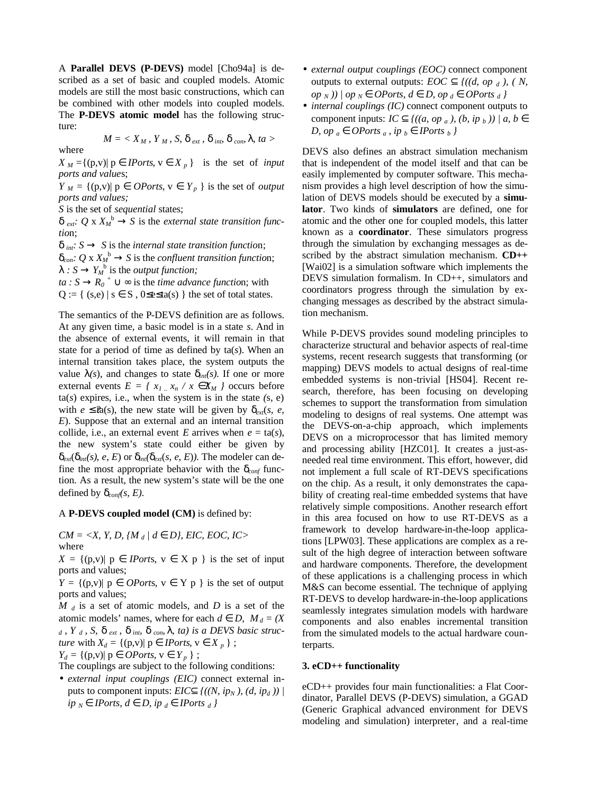A **Parallel DEVS (P-DEVS)** model [Cho94a] is described as a set of basic and coupled models. Atomic models are still the most basic constructions, which can be combined with other models into coupled models. The **P-DEVS atomic model** has the following structure:

$$
M = \langle X_M, Y_M, S, \mathbf{d}_{ext}, \mathbf{d}_{int} \mathbf{d}_{con} \mathbf{1}, ta \rangle
$$

 $X_M = \{(p,v) | p \hat{\mathbf{I}} \text{ }$  *IPorts*,  $\forall \hat{\mathbf{I}} \text{ } X_p \}$  is the set of *input ports and value*s;

*Y*<sub>*M*</sub> = {(p,v)| p  $\hat{I}$  *OPorts*, v  $\hat{I}$  *Y*<sub>*p*</sub> } is the set of *output ports and values;*

*S* is the set of *sequential* states;

where

 $d_{ext}$ :  $Q \times X_M^b \otimes S$  is the *external state transition functio*n;

*d int: S ® S* is the *internal state transition functio*n;  $d_{con}$ :  $Q \times X_M^b \otimes S$  is the *confluent transition function*;  $I : S \otimes Y_M^b$  is the *output function*; *ta* : *S*  $\circledR$   $R_0$  <sup>+</sup>  $\tilde{E}$  **¥** is the *time advance function*; with  $Q := \{ (s,e) | s \in S, 0 \leq s \leq t a(s) \}$  the set of total states.

The semantics of the P-DEVS definition are as follows. At any given time, a basic model is in a state *s*. And in the absence of external events, it will remain in that state for a period of time as defined by ta(*s*). When an internal transition takes place, the system outputs the value  $I(s)$ , and changes to state  $d_{int}(s)$ . If one or more external events  $E = \{ x_1, x_n \mid x \in X_M \}$  occurs before  $ta(s)$  expires, i.e., when the system is in the state  $(s, e)$ with  $e \leq \hat{z}$ a(s), the new state will be given by  $d_{\text{erf}}(s, e,$ *E*). Suppose that an external and an internal transition collide, i.e., an external event *E* arrives when  $e = \text{ta}(s)$ , the new system's state could either be given by  $d_{ext}(d_{int}(s), e, E)$  or  $d_{int}(d_{ext}(s, e, E))$ . The modeler can define the most appropriate behavior with the  $d_{conf}$  function. As a result, the new system's state will be the one defined by  $d_{conf}(s, E)$ .

A **P-DEVS coupled model (CM)** is defined by:

 $CM = \langle X, Y, D, \{M_d \mid d \hat{I} D\}, EIC, EOC, IC \rangle$ where

 $X = \{ (p,v) | p \hat{\mathbf{I}}$  *IPorts*,  $v \hat{\mathbf{I}}$  *X*  $p \}$  is the set of input ports and values;

 $Y = \{(p,v) | p \mathbf{\hat{I}} \text{ }$  *OPorts*,  $v \mathbf{\hat{I}} \text{ } Y p$  } is the set of output ports and values;

*M <sup>d</sup>* is a set of atomic models, and *D* is a set of the atomic models' names, where for each  $d\hat{I}D$ ,  $M_d = (X$  $d$ ,  $Y$ <sub>d</sub>,  $S$ ,  $d$ <sub>ext</sub>,  $d$ <sub>int</sub>,  $d$ <sub>con</sub>,  $I$ ,  $ta$ ) is a DEVS basic struc*ture* with  $X_d = \{(p, v) | p \mathbf{\tilde{I}} \text{ }$  *IPorts*,  $v \mathbf{\tilde{I}} \text{ } X_p \}$ ;

 $Y_d = \{ (p,v) | p \mathbf{\hat{I}} \text{ } OPorts, v \mathbf{\hat{I}} \text{ } Y_p \}$ ;

The couplings are subject to the following conditions:

• *external input couplings (EIC)* connect external inputs to component inputs: *EIC***Í**  $\{((N, ip_N), (d, ip_d))\}$ *ip <sup>N</sup> Î IPorts, d Î D, ip <sup>d</sup> Î IPorts d }*

- *external output couplings (EOC)* connect component outputs to external outputs: *EOC*  $\hat{I}$   $\{(d, op_d), (N,$  $\left\{ \rho \left( \rho \right) \right\}$   $\left\{ \rho \left( \rho \right) \rho \right\}$  *N*  $\left\{ \rho \left( \rho \right) \rho \right\}$  *Z*  $\left\{ \rho \left( \rho \right) \rho \right\}$  *D, op*  $\left\{ \rho \left( \rho \right) \rho \right\}$  *<i>QPorts*  $\left\{ \rho \right\}$
- *internal couplings (IC)* connect component outputs to component inputs: *IC*  $\hat{I}$  {((a, op <sub>a</sub>), (b, ip <sub>b</sub>)) | a, b  $\hat{I}$ *D, op* <sup>*a*</sup>  $\hat{I}$  *OPorts* <sup>*a*</sup>, *ip*  $\hat{I}$  *IPorts*  $\hat{b}$   $\hat{f}$

DEVS also defines an abstract simulation mechanism that is independent of the model itself and that can be easily implemented by computer software. This mechanism provides a high level description of how the simulation of DEVS models should be executed by a **simulator**. Two kinds of **simulators** are defined, one for atomic and the other one for coupled models, this latter known as a **coordinator**. These simulators progress through the simulation by exchanging messages as described by the abstract simulation mechanism. **CD++** [Wai02] is a simulation software which implements the DEVS simulation formalism. In CD++, simulators and coordinators progress through the simulation by exchanging messages as described by the abstract simulation mechanism.

While P-DEVS provides sound modeling principles to characterize structural and behavior aspects of real-time systems, recent research suggests that transforming (or mapping) DEVS models to actual designs of real-time embedded systems is non-trivial [HS04]. Recent research, therefore, has been focusing on developing schemes to support the transformation from simulation modeling to designs of real systems. One attempt was the DEVS-on-a-chip approach, which implements DEVS on a microprocessor that has limited memory and processing ability [HZC01]. It creates a just-asneeded real time environment. This effort, however, did not implement a full scale of RT-DEVS specifications on the chip. As a result, it only demonstrates the capability of creating real-time embedded systems that have relatively simple compositions. Another research effort in this area focused on how to use RT-DEVS as a framework to develop hardware-in-the-loop applications [LPW03]. These applications are complex as a result of the high degree of interaction between software and hardware components. Therefore, the development of these applications is a challenging process in which M&S can become essential. The technique of applying RT-DEVS to develop hardware-in-the-loop applications seamlessly integrates simulation models with hardware components and also enables incremental transition from the simulated models to the actual hardware counterparts.

#### **3. eCD++ functionality**

eCD++ provides four main functionalities: a Flat Coordinator, Parallel DEVS (P-DEVS) simulation, a GGAD (Generic Graphical advanced environment for DEVS modeling and simulation) interpreter, and a real-time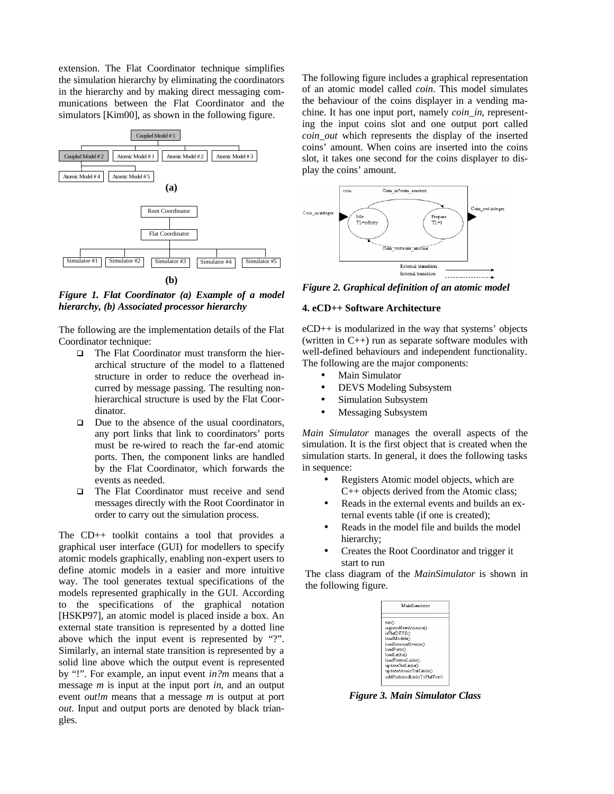extension. The Flat Coordinator technique simplifies the simulation hierarchy by eliminating the coordinators in the hierarchy and by making direct messaging communications between the Flat Coordinator and the simulators [Kim00], as shown in the following figure.



*Figure 1. Flat Coordinator (a) Example of a model hierarchy, (b) Associated processor hierarchy* 

The following are the implementation details of the Flat Coordinator technique:

- $\Box$  The Flat Coordinator must transform the hierarchical structure of the model to a flattened structure in order to reduce the overhead incurred by message passing. The resulting nonhierarchical structure is used by the Flat Coordinator.
- $\Box$  Due to the absence of the usual coordinators, any port links that link to coordinators' ports must be re-wired to reach the far-end atomic ports. Then, the component links are handled by the Flat Coordinator, which forwards the events as needed.
- **Q** The Flat Coordinator must receive and send messages directly with the Root Coordinator in order to carry out the simulation process.

The CD++ toolkit contains a tool that provides a graphical user interface (GUI) for modellers to specify atomic models graphically, enabling non-expert users to define atomic models in a easier and more intuitive way. The tool generates textual specifications of the models represented graphically in the GUI. According to the specifications of the graphical notation [HSKP97], an atomic model is placed inside a box. An external state transition is represented by a dotted line above which the input event is represented by "?". Similarly, an internal state transition is represented by a solid line above which the output event is represented by "!". For example, an input event *in?m* means that a message *m* is input at the input port *in*, and an output event *out!m* means that a message *m* is output at port *out*. Input and output ports are denoted by black triangles.

The following figure includes a graphical representation of an atomic model called *coin*. This model simulates the behaviour of the coins displayer in a vending machine. It has one input port, namely *coin\_in*, representing the input coins slot and one output port called *coin\_out* which represents the display of the inserted coins' amount. When coins are inserted into the coins slot, it takes one second for the coins displayer to display the coins' amount.



*Figure 2. Graphical definition of an atomic model*

## **4. eCD++ Software Architecture**

eCD++ is modularized in the way that systems' objects (written in C++) run as separate software modules with well-defined behaviours and independent functionality. The following are the major components:

- Main Simulator
- DEVS Modeling Subsystem
- Simulation Subsystem
- Messaging Subsystem

*Main Simulator* manages the overall aspects of the simulation. It is the first object that is created when the simulation starts. In general, it does the following tasks in sequence:

- Registers Atomic model objects, which are C++ objects derived from the Atomic class;
- Reads in the external events and builds an external events table (if one is created);
- Reads in the model file and builds the model hierarchy;
- Creates the Root Coordinator and trigger it start to run

The class diagram of the *MainSimulator* is shown in the following figure.

| MainSimulator                |  |  |  |  |
|------------------------------|--|--|--|--|
|                              |  |  |  |  |
| run()                        |  |  |  |  |
| registerNewAtomics()         |  |  |  |  |
| isFlatDEVSO                  |  |  |  |  |
| loadModels()                 |  |  |  |  |
| loadExternalEvents()         |  |  |  |  |
| loadPortsO                   |  |  |  |  |
| loadLinks()                  |  |  |  |  |
| loadFlattenLinks()           |  |  |  |  |
| updateOutLinks()             |  |  |  |  |
| undateAtomicOutLinks∩        |  |  |  |  |
| addFlattenedLinksToFlatTop() |  |  |  |  |
|                              |  |  |  |  |

*Figure 3. Main Simulator Class*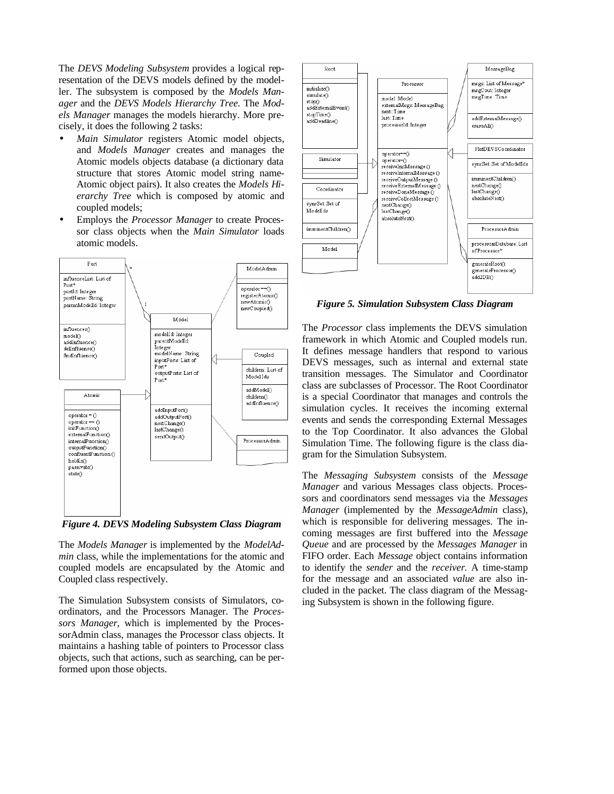The *DEVS Modeling Subsystem* provides a logical representation of the DEVS models defined by the modeller. The subsystem is composed by the *Models Manager* and the *DEVS Models Hierarchy Tree*. The *Models Manager* manages the models hierarchy. More precisely, it does the following 2 tasks:

- *Main Simulator* registers Atomic model objects, and *Models Manager* creates and manages the Atomic models objects database (a dictionary data structure that stores Atomic model string name-Atomic object pairs). It also creates the *Models Hierarchy Tree* which is composed by atomic and coupled models;
- Employs the *Processor Manager* to create Processor class objects when the *Main Simulator* loads atomic models.



*Figure 4. DEVS Modeling Subsystem Class Diagram*

The *Models Manager* is implemented by the *ModelAdmin* class, while the implementations for the atomic and coupled models are encapsulated by the Atomic and Coupled class respectively.

The Simulation Subsystem consists of Simulators, coordinators, and the Processors Manager. The *Processors Manager*, which is implemented by the ProcessorAdmin class, manages the Processor class objects. It maintains a hashing table of pointers to Processor class objects, such that actions, such as searching, can be performed upon those objects.



*Figure 5. Simulation Subsystem Class Diagram*

The *Processor* class implements the DEVS simulation framework in which Atomic and Coupled models run. It defines message handlers that respond to various DEVS messages, such as internal and external state transition messages. The Simulator and Coordinator class are subclasses of Processor. The Root Coordinator is a special Coordinator that manages and controls the simulation cycles. It receives the incoming external events and sends the corresponding External Messages to the Top Coordinator. It also advances the Global Simulation Time. The following figure is the class diagram for the Simulation Subsystem.

The *Messaging Subsystem* consists of the *Message Manager* and various Messages class objects. Processors and coordinators send messages via the *Messages Manager* (implemented by the *MessageAdmin* class), which is responsible for delivering messages. The incoming messages are first buffered into the *Message Queue* and are processed by the *Messages Manager* in FIFO order. Each *Message* object contains information to identify the *sender* and the *receiver*. A time-stamp for the message and an associated *value* are also included in the packet. The class diagram of the Messaging Subsystem is shown in the following figure.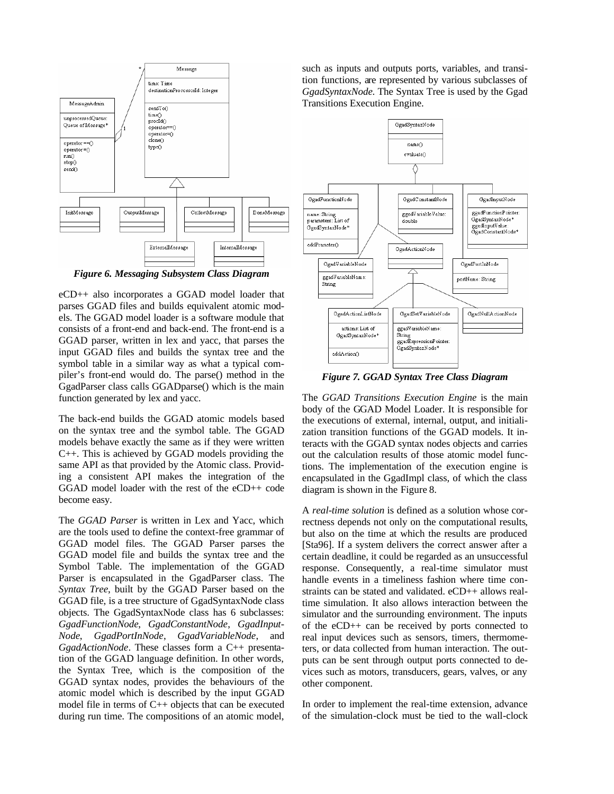

*Figure 6. Messaging Subsystem Class Diagram*

eCD++ also incorporates a GGAD model loader that parses GGAD files and builds equivalent atomic models. The GGAD model loader is a software module that consists of a front-end and back-end. The front-end is a GGAD parser, written in lex and yacc, that parses the input GGAD files and builds the syntax tree and the symbol table in a similar way as what a typical compiler's front-end would do. The parse() method in the GgadParser class calls GGADparse() which is the main function generated by lex and yacc.

The back-end builds the GGAD atomic models based on the syntax tree and the symbol table. The GGAD models behave exactly the same as if they were written C++. This is achieved by GGAD models providing the same API as that provided by the Atomic class. Providing a consistent API makes the integration of the GGAD model loader with the rest of the eCD++ code become easy.

The *GGAD Parser* is written in Lex and Yacc, which are the tools used to define the context-free grammar of GGAD model files. The GGAD Parser parses the GGAD model file and builds the syntax tree and the Symbol Table. The implementation of the GGAD Parser is encapsulated in the GgadParser class. The *Syntax Tree*, built by the GGAD Parser based on the GGAD file, is a tree structure of GgadSyntaxNode class objects. The GgadSyntaxNode class has 6 subclasses: *GgadFunctionNode*, *GgadConstantNode*, *GgadInput-Node*, *GgadPortInNode*, *GgadVariableNode*, and *GgadActionNode*. These classes form a C++ presentation of the GGAD language definition. In other words, the Syntax Tree, which is the composition of the GGAD syntax nodes, provides the behaviours of the atomic model which is described by the input GGAD model file in terms of C++ objects that can be executed during run time. The compositions of an atomic model, such as inputs and outputs ports, variables, and transition functions, are represented by various subclasses of *GgadSyntaxNode*. The Syntax Tree is used by the Ggad Transitions Execution Engine.



*Figure 7. GGAD Syntax Tree Class Diagram*

The *GGAD Transitions Execution Engine* is the main body of the GGAD Model Loader. It is responsible for the executions of external, internal, output, and initialization transition functions of the GGAD models. It interacts with the GGAD syntax nodes objects and carries out the calculation results of those atomic model functions. The implementation of the execution engine is encapsulated in the GgadImpl class, of which the class diagram is shown in the Figure 8.

A *real-time solution* is defined as a solution whose correctness depends not only on the computational results, but also on the time at which the results are produced [Sta96]. If a system delivers the correct answer after a certain deadline, it could be regarded as an unsuccessful response. Consequently, a real-time simulator must handle events in a timeliness fashion where time constraints can be stated and validated. eCD++ allows realtime simulation. It also allows interaction between the simulator and the surrounding environment. The inputs of the eCD++ can be received by ports connected to real input devices such as sensors, timers, thermometers, or data collected from human interaction. The outputs can be sent through output ports connected to devices such as motors, transducers, gears, valves, or any other component.

In order to implement the real-time extension, advance of the simulation-clock must be tied to the wall-clock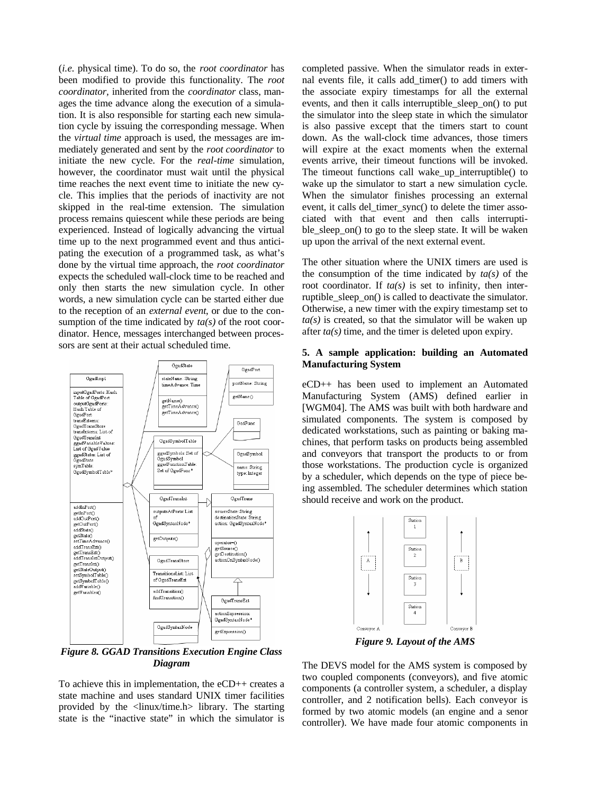(*i.e.* physical time). To do so, the *root coordinator* has been modified to provide this functionality. The *root coordinator,* inherited from the *coordinator* class, manages the time advance along the execution of a simulation. It is also responsible for starting each new simulation cycle by issuing the corresponding message. When the *virtual time* approach is used, the messages are immediately generated and sent by the *root coordinator* to initiate the new cycle. For the *real-time* simulation, however, the coordinator must wait until the physical time reaches the next event time to initiate the new cycle. This implies that the periods of inactivity are not skipped in the real-time extension. The simulation process remains quiescent while these periods are being experienced. Instead of logically advancing the virtual time up to the next programmed event and thus anticipating the execution of a programmed task, as what's done by the virtual time approach, the *root coordinator* expects the scheduled wall-clock time to be reached and only then starts the new simulation cycle. In other words, a new simulation cycle can be started either due to the reception of an *external event*, or due to the consumption of the time indicated by *ta(s)* of the root coordinator*.* Hence, messages interchanged between processors are sent at their actual scheduled time.



*Figure 8. GGAD Transitions Execution Engine Class Diagram*

To achieve this in implementation, the eCD++ creates a state machine and uses standard UNIX timer facilities provided by the <linux/time.h> library. The starting state is the "inactive state" in which the simulator is completed passive. When the simulator reads in external events file, it calls add\_timer() to add timers with the associate expiry timestamps for all the external events, and then it calls interruptible\_sleep\_on() to put the simulator into the sleep state in which the simulator is also passive except that the timers start to count down. As the wall-clock time advances, those timers will expire at the exact moments when the external events arrive, their timeout functions will be invoked. The timeout functions call wake\_up\_interruptible() to wake up the simulator to start a new simulation cycle. When the simulator finishes processing an external event, it calls del\_timer\_sync() to delete the timer associated with that event and then calls interruptible sleep on() to go to the sleep state. It will be waken up upon the arrival of the next external event.

The other situation where the UNIX timers are used is the consumption of the time indicated by *ta(s)* of the root coordinator. If  $ta(s)$  is set to infinity, then interruptible\_sleep\_on() is called to deactivate the simulator. Otherwise, a new timer with the expiry timestamp set to  $ta(s)$  is created, so that the simulator will be waken up after *ta(s)* time, and the timer is deleted upon expiry.

## **5. A sample application: building an Automated Manufacturing System**

eCD++ has been used to implement an Automated Manufacturing System (AMS) defined earlier in [WGM04]. The AMS was built with both hardware and simulated components. The system is composed by dedicated workstations, such as painting or baking machines, that perform tasks on products being assembled and conveyors that transport the products to or from those workstations. The production cycle is organized by a scheduler, which depends on the type of piece being assembled. The scheduler determines which station should receive and work on the product.



*Figure 9. Layout of the AMS*

The DEVS model for the AMS system is composed by two coupled components (conveyors), and five atomic components (a controller system, a scheduler, a display controller, and 2 notification bells). Each conveyor is formed by two atomic models (an engine and a senor controller). We have made four atomic components in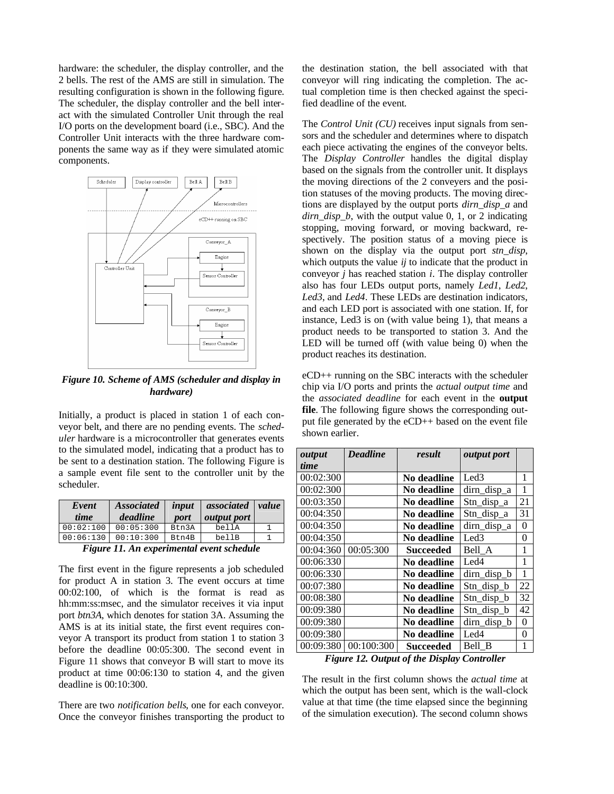hardware: the scheduler, the display controller, and the 2 bells. The rest of the AMS are still in simulation. The resulting configuration is shown in the following figure. The scheduler, the display controller and the bell interact with the simulated Controller Unit through the real I/O ports on the development board (i.e., SBC). And the Controller Unit interacts with the three hardware components the same way as if they were simulated atomic components.



*Figure 10. Scheme of AMS (scheduler and display in hardware)*

Initially, a product is placed in station 1 of each conveyor belt, and there are no pending events. The *scheduler* hardware is a microcontroller that generates events to the simulated model, indicating that a product has to be sent to a destination station. The following Figure is a sample event file sent to the controller unit by the scheduler.

| Event<br>time                            | <b>Associated</b><br>deadline | input<br>port | associated value<br><i>output port</i> |  |  |  |
|------------------------------------------|-------------------------------|---------------|----------------------------------------|--|--|--|
| 00:02:100                                | 00:05:300                     | Btn3A         | bellA                                  |  |  |  |
| 00:06:130                                | 00:10:300                     | Btn4B         | bellB                                  |  |  |  |
| Figure 11 An experimental event schedule |                               |               |                                        |  |  |  |

*Figure 11. An experimental event schedule*

The first event in the figure represents a job scheduled for product A in station 3. The event occurs at time 00:02:100, of which is the format is read as hh:mm:ss:msec, and the simulator receives it via input port *btn3A*, which denotes for station 3A. Assuming the AMS is at its initial state, the first event requires conveyor A transport its product from station 1 to station 3 before the deadline 00:05:300. The second event in Figure 11 shows that conveyor B will start to move its product at time 00:06:130 to station 4, and the given deadline is 00:10:300.

There are two *notification bells*, one for each conveyor. Once the conveyor finishes transporting the product to

the destination station, the bell associated with that conveyor will ring indicating the completion. The actual completion time is then checked against the specified deadline of the event.

The *Control Unit (CU)* receives input signals from sensors and the scheduler and determines where to dispatch each piece activating the engines of the conveyor belts. The *Display Controller* handles the digital display based on the signals from the controller unit. It displays the moving directions of the 2 conveyers and the position statuses of the moving products. The moving directions are displayed by the output ports *dirn\_disp\_a* and *dirn\_disp\_b*, with the output value 0, 1, or 2 indicating stopping, moving forward, or moving backward, respectively. The position status of a moving piece is shown on the display via the output port *stn\_disp*, which outputs the value *ij* to indicate that the product in conveyor *j* has reached station *i*. The display controller also has four LEDs output ports, namely *Led1*, *Led2*, *Led3*, and *Led4*. These LEDs are destination indicators, and each LED port is associated with one station. If, for instance, Led3 is on (with value being 1), that means a product needs to be transported to station 3. And the LED will be turned off (with value being 0) when the product reaches its destination.

eCD++ running on the SBC interacts with the scheduler chip via I/O ports and prints the *actual output time* and the *associated deadline* for each event in the **output file**. The following figure shows the corresponding output file generated by the eCD++ based on the event file shown earlier.

| output      | <b>Deadline</b> | result             | output port      |                |
|-------------|-----------------|--------------------|------------------|----------------|
| <i>time</i> |                 |                    |                  |                |
| 00:02:300   |                 | No deadline        | Led3             | 1              |
| 00:02:300   |                 | No deadline        | dirn_disp_a      | 1              |
| 00:03:350   |                 | No deadline        | Stn_disp_a       | 21             |
| 00:04:350   |                 | No deadline        | Stn_disp_a       | 31             |
| 00:04:350   |                 | No deadline        | dirn_disp_a      | $\overline{0}$ |
| 00:04:350   |                 | No deadline        | Led <sub>3</sub> | 0              |
| 00:04:360   | 00:05:300       | Succeeded          | Bell A           | 1              |
| 00:06:330   |                 | No deadline        | Led4             | 1              |
| 00:06:330   |                 | No deadline        | dirn_disp_b      | 1              |
| 00:07:380   |                 | No deadline        | $Stn\_disp_b$    | 22             |
| 00:08:380   |                 | No deadline        | Stn_disp_b       | 32             |
| 00:09:380   |                 | No deadline        | Stn_disp_b       | 42             |
| 00:09:380   |                 | No deadline        | dirn_disp_b      | 0              |
| 00:09:380   |                 | <b>No deadline</b> | Led4             | 0              |
| 00:09:380   | 00:100:300      | Succeeded          | Bell B           | 1              |

*Figure 12. Output of the Display Controller*

The result in the first column shows the *actual time* at which the output has been sent, which is the wall-clock value at that time (the time elapsed since the beginning of the simulation execution). The second column shows